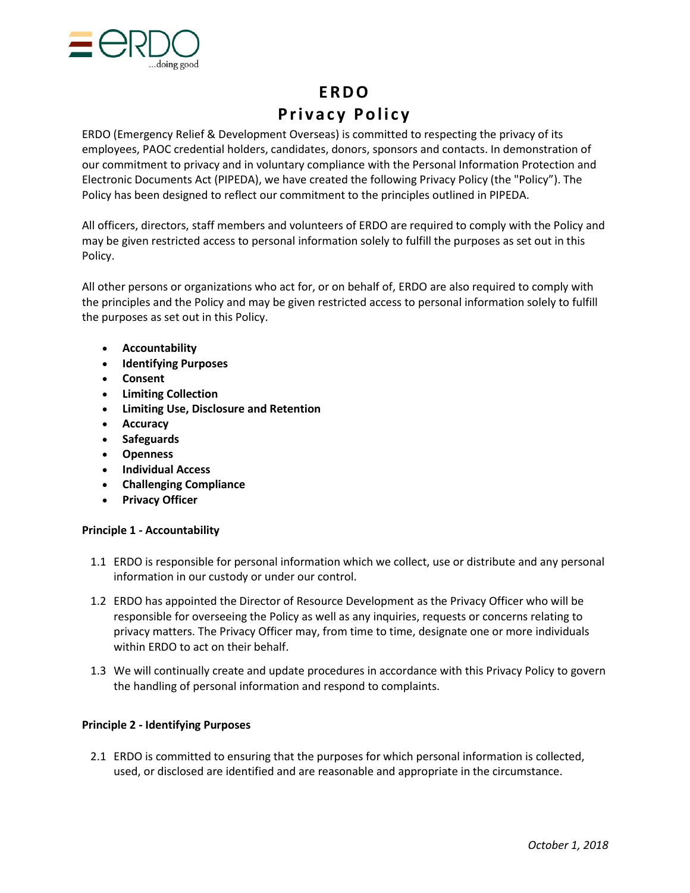

# **E R D O P r i v a c y P o l i c y**

ERDO (Emergency Relief & Development Overseas) is committed to respecting the privacy of its employees, PAOC credential holders, candidates, donors, sponsors and contacts. In demonstration of our commitment to privacy and in voluntary compliance with the Personal Information Protection and Electronic Documents Act (PIPEDA), we have created the following Privacy Policy (the "Policy"). The Policy has been designed to reflect our commitment to the principles outlined in PIPEDA.

All officers, directors, staff members and volunteers of ERDO are required to comply with the Policy and may be given restricted access to personal information solely to fulfill the purposes as set out in this Policy.

All other persons or organizations who act for, or on behalf of, ERDO are also required to comply with the principles and the Policy and may be given restricted access to personal information solely to fulfill the purposes as set out in this Policy.

- **[Accountability](http://cmalliance.ca/privacypolicyc908.php#Accountability)**
- **[Identifying Purposes](http://cmalliance.ca/privacypolicyc908.php#Identifying Purposes)**
- **[Consent](http://cmalliance.ca/privacypolicyc908.php#Consent)**
- **[Limiting Collection](http://cmalliance.ca/privacypolicyc908.php#Limiting Collection)**
- **[Limiting Use, Disclosure and Retention](http://cmalliance.ca/privacypolicyc908.php#Limiting Use, Disclosure and Retention)**
- **[Accuracy](http://cmalliance.ca/privacypolicyc908.php#Accuracy)**
- **[Safeguards](http://cmalliance.ca/privacypolicyc908.php#Safeguards)**
- **[Openness](http://cmalliance.ca/privacypolicyc908.php#Openness)**
- **[Individual Access](http://cmalliance.ca/privacypolicyc908.php#Individual Access)**
- **[Challenging Compliance](http://cmalliance.ca/privacypolicyc908.php#Challenging Compliance)**
- **[Privacy Officer](http://cmalliance.ca/privacypolicyc908.php#Privacy Officer)**

# **Principle 1 - Accountability**

- 1.1 ERDO is responsible for personal information which we collect, use or distribute and any personal information in our custody or under our control.
- 1.2 ERDO has appointed the Director of Resource Development as the Privacy Officer who will be responsible for overseeing the Policy as well as any inquiries, requests or concerns relating to privacy matters. The Privacy Officer may, from time to time, designate one or more individuals within ERDO to act on their behalf.
- 1.3 We will continually create and update procedures in accordance with this Privacy Policy to govern the handling of personal information and respond to complaints.

# **Principle 2 - Identifying Purposes**

2.1 ERDO is committed to ensuring that the purposes for which personal information is collected, used, or disclosed are identified and are reasonable and appropriate in the circumstance.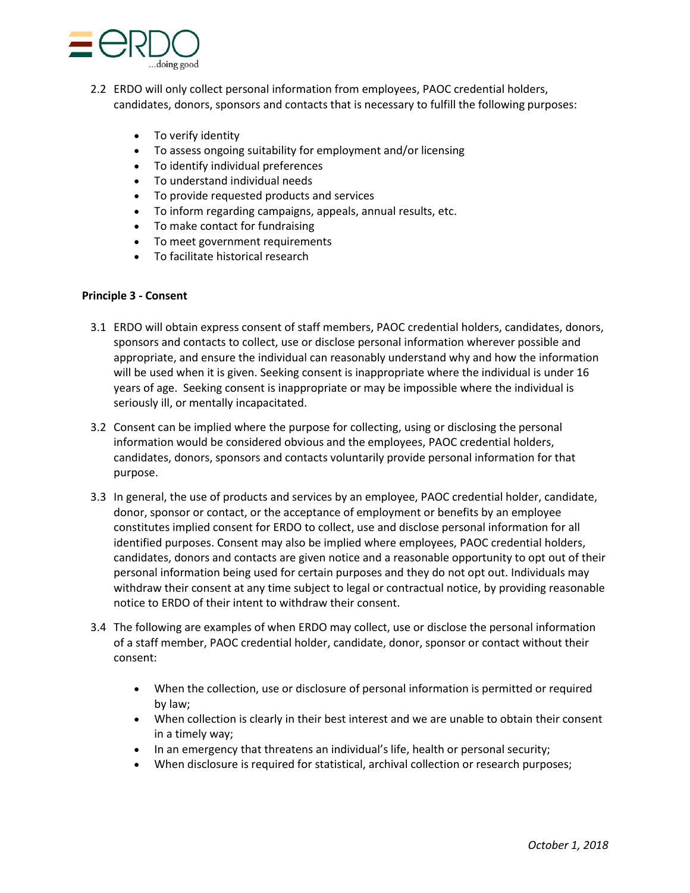

- 2.2 ERDO will only collect personal information from employees, PAOC credential holders, candidates, donors, sponsors and contacts that is necessary to fulfill the following purposes:
	- To verify identity
	- To assess ongoing suitability for employment and/or licensing
	- To identify individual preferences
	- To understand individual needs
	- To provide requested products and services
	- To inform regarding campaigns, appeals, annual results, etc.
	- To make contact for fundraising
	- To meet government requirements
	- To facilitate historical research

# **Principle 3 - Consent**

- 3.1 ERDO will obtain express consent of staff members, PAOC credential holders, candidates, donors, sponsors and contacts to collect, use or disclose personal information wherever possible and appropriate, and ensure the individual can reasonably understand why and how the information will be used when it is given. Seeking consent is inappropriate where the individual is under 16 years of age. Seeking consent is inappropriate or may be impossible where the individual is seriously ill, or mentally incapacitated.
- 3.2 Consent can be implied where the purpose for collecting, using or disclosing the personal information would be considered obvious and the employees, PAOC credential holders, candidates, donors, sponsors and contacts voluntarily provide personal information for that purpose.
- 3.3 In general, the use of products and services by an employee, PAOC credential holder, candidate, donor, sponsor or contact, or the acceptance of employment or benefits by an employee constitutes implied consent for ERDO to collect, use and disclose personal information for all identified purposes. Consent may also be implied where employees, PAOC credential holders, candidates, donors and contacts are given notice and a reasonable opportunity to opt out of their personal information being used for certain purposes and they do not opt out. Individuals may withdraw their consent at any time subject to legal or contractual notice, by providing reasonable notice to ERDO of their intent to withdraw their consent.
- 3.4 The following are examples of when ERDO may collect, use or disclose the personal information of a staff member, PAOC credential holder, candidate, donor, sponsor or contact without their consent:
	- When the collection, use or disclosure of personal information is permitted or required by law;
	- When collection is clearly in their best interest and we are unable to obtain their consent in a timely way;
	- In an emergency that threatens an individual's life, health or personal security;
	- When disclosure is required for statistical, archival collection or research purposes;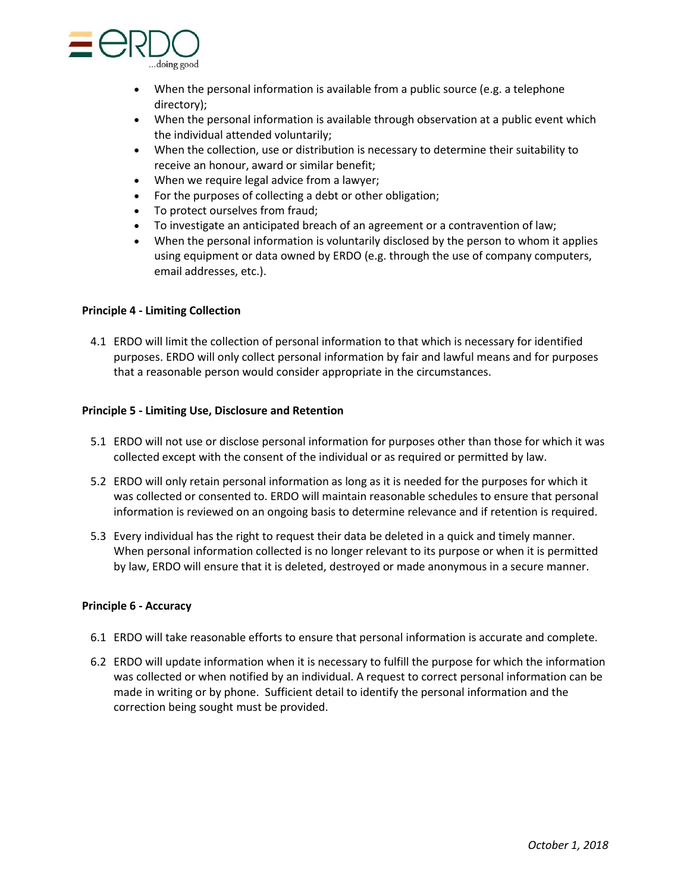

- When the personal information is available from a public source (e.g. a telephone directory);
- When the personal information is available through observation at a public event which the individual attended voluntarily;
- When the collection, use or distribution is necessary to determine their suitability to receive an honour, award or similar benefit;
- When we require legal advice from a lawyer;
- For the purposes of collecting a debt or other obligation;
- To protect ourselves from fraud;
- To investigate an anticipated breach of an agreement or a contravention of law;
- When the personal information is voluntarily disclosed by the person to whom it applies using equipment or data owned by ERDO (e.g. through the use of company computers, email addresses, etc.).

# **Principle 4 - Limiting Collection**

4.1 ERDO will limit the collection of personal information to that which is necessary for identified purposes. ERDO will only collect personal information by fair and lawful means and for purposes that a reasonable person would consider appropriate in the circumstances.

## **Principle 5 - Limiting Use, Disclosure and Retention**

- 5.1 ERDO will not use or disclose personal information for purposes other than those for which it was collected except with the consent of the individual or as required or permitted by law.
- 5.2 ERDO will only retain personal information as long as it is needed for the purposes for which it was collected or consented to. ERDO will maintain reasonable schedules to ensure that personal information is reviewed on an ongoing basis to determine relevance and if retention is required.
- 5.3 Every individual has the right to request their data be deleted in a quick and timely manner. When personal information collected is no longer relevant to its purpose or when it is permitted by law, ERDO will ensure that it is deleted, destroyed or made anonymous in a secure manner.

#### **Principle 6 - Accuracy**

- 6.1 ERDO will take reasonable efforts to ensure that personal information is accurate and complete.
- 6.2 ERDO will update information when it is necessary to fulfill the purpose for which the information was collected or when notified by an individual. A request to correct personal information can be made in writing or by phone. Sufficient detail to identify the personal information and the correction being sought must be provided.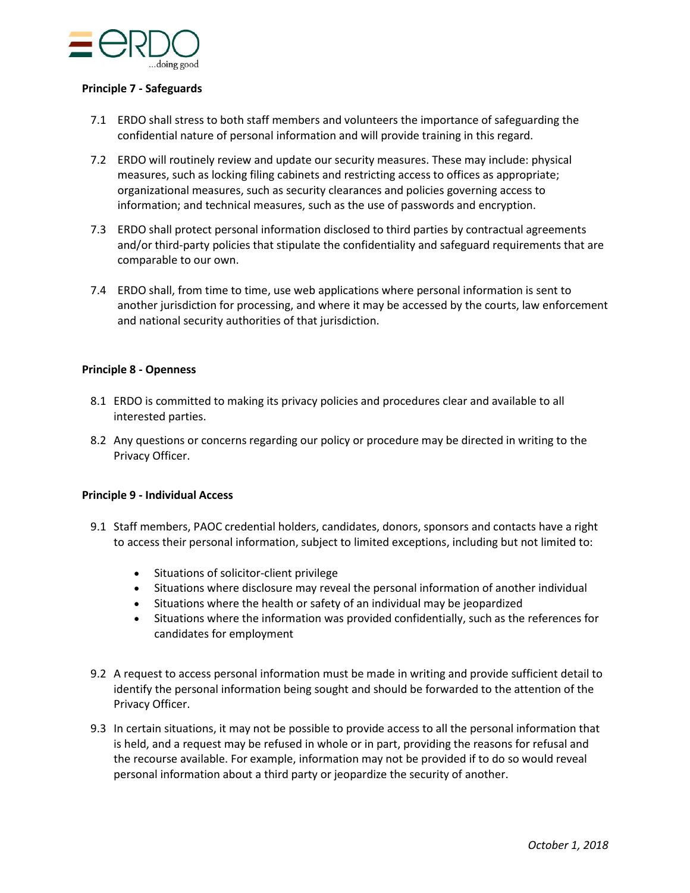

## **Principle 7 - Safeguards**

- 7.1 ERDO shall stress to both staff members and volunteers the importance of safeguarding the confidential nature of personal information and will provide training in this regard.
- 7.2 ERDO will routinely review and update our security measures. These may include: physical measures, such as locking filing cabinets and restricting access to offices as appropriate; organizational measures, such as security clearances and policies governing access to information; and technical measures, such as the use of passwords and encryption.
- 7.3 ERDO shall protect personal information disclosed to third parties by contractual agreements and/or third-party policies that stipulate the confidentiality and safeguard requirements that are comparable to our own.
- 7.4 ERDO shall, from time to time, use web applications where personal information is sent to another jurisdiction for processing, and where it may be accessed by the courts, law enforcement and national security authorities of that jurisdiction.

## **Principle 8 - Openness**

- 8.1 ERDO is committed to making its privacy policies and procedures clear and available to all interested parties.
- 8.2 Any questions or concerns regarding our policy or procedure may be directed in writing to the Privacy Officer.

#### **Principle 9 - Individual Access**

- 9.1 Staff members, PAOC credential holders, candidates, donors, sponsors and contacts have a right to access their personal information, subject to limited exceptions, including but not limited to:
	- Situations of solicitor-client privilege
	- Situations where disclosure may reveal the personal information of another individual
	- Situations where the health or safety of an individual may be jeopardized
	- Situations where the information was provided confidentially, such as the references for candidates for employment
- 9.2 A request to access personal information must be made in writing and provide sufficient detail to identify the personal information being sought and should be forwarded to the attention of the Privacy Officer.
- 9.3 In certain situations, it may not be possible to provide access to all the personal information that is held, and a request may be refused in whole or in part, providing the reasons for refusal and the recourse available. For example, information may not be provided if to do so would reveal personal information about a third party or jeopardize the security of another.